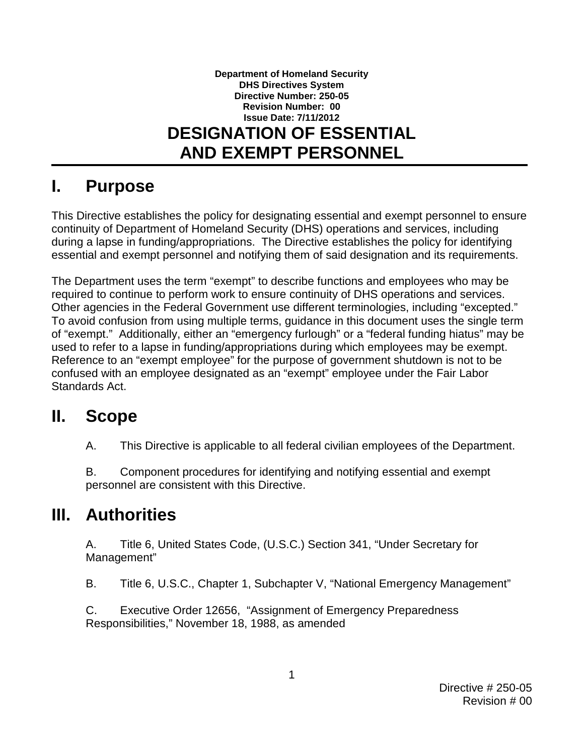#### **Directive Number: 250-05 AND EXEMPT PERSONNEL Department of Homeland Security DHS Directives System Revision Number: 00 Issue Date: 7/11/2012 DESIGNATION OF ESSENTIAL**

## **I. Purpose**

 This Directive establishes the policy for designating essential and exempt personnel to ensure during a lapse in funding/appropriations. The Directive establishes the policy for identifying essential and exempt personnel and notifying them of said designation and its requirements. continuity of Department of Homeland Security (DHS) operations and services, including

 required to continue to perform work to ensure continuity of DHS operations and services. Other agencies in the Federal Government use different terminologies, including "excepted." of "exempt." Additionally, either an "emergency furlough" or a "federal funding hiatus" may be used to refer to a lapse in funding/appropriations during which employees may be exempt. The Department uses the term "exempt" to describe functions and employees who may be To avoid confusion from using multiple terms, guidance in this document uses the single term Reference to an "exempt employee" for the purpose of government shutdown is not to be confused with an employee designated as an "exempt" employee under the Fair Labor Standards Act.

#### $\mathbf{II}$ . **II. Scope**

A. This Directive is applicable to all federal civilian employees of the Department.

 personnel are consistent with this Directive. B. Component procedures for identifying and notifying essential and exempt

## **III. Authorities**

A. Title 6, United States Code, (U.S.C.) Section 341, "Under Secretary for Management"

 $B<sub>1</sub>$ Title 6, U.S.C., Chapter 1, Subchapter V, "National Emergency Management"

C. Executive Order 12656, "Assignment of Emergency Preparedness Responsibilities," November 18, 1988, as amended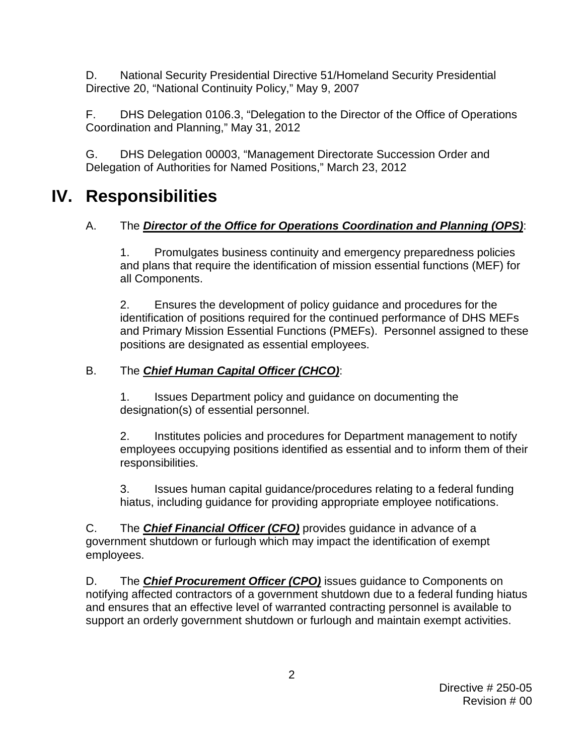D. National Security Presidential Directive 51/Homeland Security Presidential Directive 20, "National Continuity Policy," May 9, 2007

 F. DHS Delegation 0106.3, "Delegation to the Director of the Office of Operations Coordination and Planning," May 31, 2012

G. DHS Delegation 00003, "Management Directorate Succession Order and Delegation of Authorities for Named Positions," March 23, 2012

# **IV. Responsibilities**

 A. The *Director of the Office for Operations Coordination and Planning (OPS)*: 1. Promulgates business continuity and emergency preparedness policies Promulgates business continuity and emergency preparedness policies and plans that require the identification of mission essential functions (MEF) for all Components.

 2. Ensures the development of policy guidance and procedures for the identification of positions required for the continued performance of DHS MEFs and Primary Mission Essential Functions (PMEFs). Personnel assigned to these positions are designated as essential employees.

#### B. The *Chief Human Capital Officer (CHCO)*:

1. Issues Department policy and guidance on documenting the designation(s) of essential personnel.

 employees occupying positions identified as essential and to inform them of their responsibilities. 2. Institutes policies and procedures for Department management to notify

 3. Issues human capital guidance/procedures relating to a federal funding  hiatus, including guidance for providing appropriate employee notifications.

C. The *Chief Financial Officer (CFO)* provides guidance in advance of a government shutdown or furlough which may impact the identification of exempt employees.

 notifying affected contractors of a government shutdown due to a federal funding hiatus support an orderly government shutdown or furlough and maintain exempt activities. D. The *Chief Procurement Officer (CPO)* issues guidance to Components on and ensures that an effective level of warranted contracting personnel is available to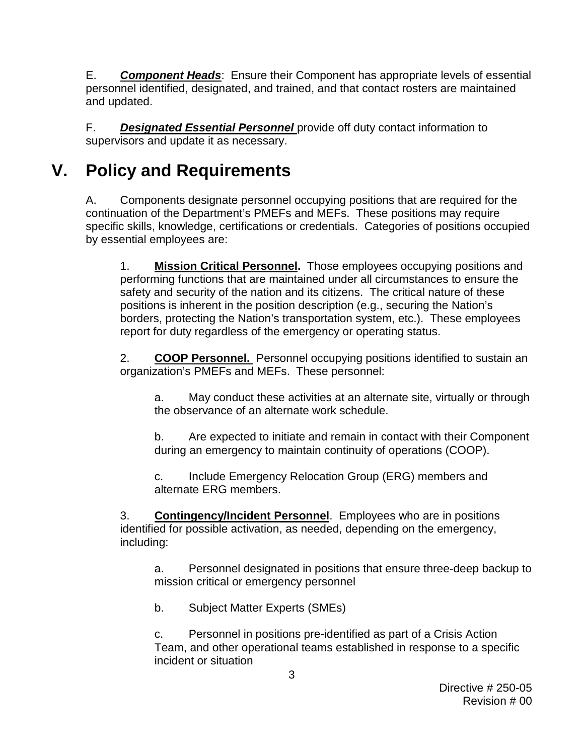E. *Component Heads*: Ensure their Component has appropriate levels of essential personnel identified, designated, and trained, and that contact rosters are maintained and updated.

F. *Designated Essential Personnel* provide off duty contact information to supervisors and update it as necessary.

# **V. Policy and Requirements**

 continuation of the Department's PMEFs and MEFs. These positions may require by essential employees are: A. Components designate personnel occupying positions that are required for the specific skills, knowledge, certifications or credentials. Categories of positions occupied

 by essential employees are: 1. **Mission Critical Personnel.** Those employees occupying positions and safety and security of the nation and its citizens. The critical nature of these borders, protecting the Nation's transportation system, etc.). These employees report for duty regardless of the emergency or operating status. performing functions that are maintained under all circumstances to ensure the positions is inherent in the position description (e.g., securing the Nation's

2. **COOP Personnel.** Personnel occupying positions identified to sustain an organization's PMEFs and MEFs. These personnel:

the observance of an alternate work schedule. a. May conduct these activities at an alternate site, virtually or through

b. Are expected to initiate and remain in contact with their Component during an emergency to maintain continuity of operations (COOP).

alternate ERG members. c. Include Emergency Relocation Group (ERG) members and

 alternate ERG members. 3. **Contingency/Incident Personnel**. Employees who are in positions including: identified for possible activation, as needed, depending on the emergency,

a. Personnel designated in positions that ensure three-deep backup to mission critical or emergency personnel

b. Subject Matter Experts (SMEs)

c. Personnel in positions pre-identified as part of a Crisis Action Team, and other operational teams established in response to a specific incident or situation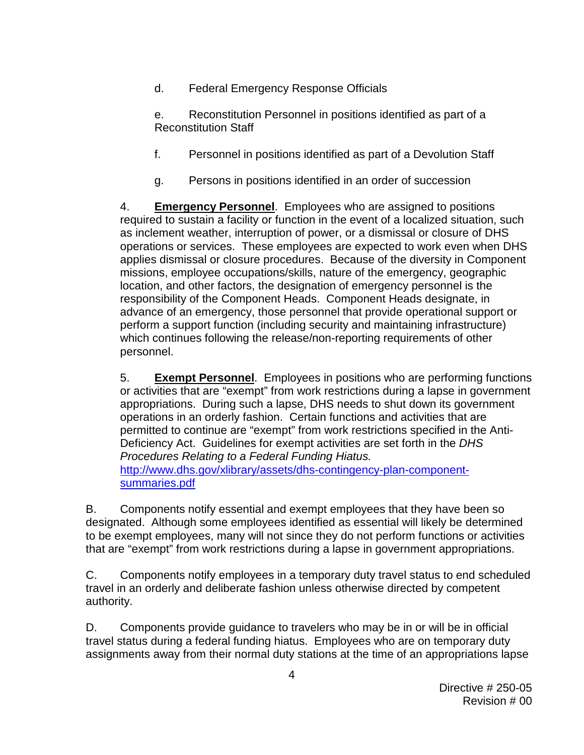d. Federal Emergency Response Officials

e. Reconstitution Personnel in positions identified as part of a Reconstitution Staff

- f. Personnel in positions identified as part of a Devolution Staff
- g. Persons in positions identified in an order of succession

 required to sustain a facility or function in the event of a localized situation, such applies dismissal or closure procedures. Because of the diversity in Component advance of an emergency, those personnel that provide operational support or which continues following the release/non-reporting requirements of other personnel. 4. **Emergency Personnel**. Employees who are assigned to positions as inclement weather, interruption of power, or a dismissal or closure of DHS operations or services. These employees are expected to work even when DHS missions, employee occupations/skills, nature of the emergency, geographic location, and other factors, the designation of emergency personnel is the responsibility of the Component Heads. Component Heads designate, in perform a support function (including security and maintaining infrastructure)

 operations in an orderly fashion. Certain functions and activities that are Deficiency Act. Guidelines for exempt activities are set forth in the *DHS Procedures Relating to a Federal Funding Hiatus.*  [summaries.pdf](http://www.dhs.gov/xlibrary/assets/dhs-contingency-plan-component-summaries.pdf)  personnel. 5. **Exempt Personnel**. Employees in positions who are performing functions or activities that are "exempt" from work restrictions during a lapse in government appropriations. During such a lapse, DHS needs to shut down its government permitted to continue are "exempt" from work restrictions specified in the Anti[http://www.dhs.gov/xlibrary/assets/dhs-contingency-plan-component-](http://www.dhs.gov/xlibrary/assets/dhs-contingency-plan-component-summaries.pdf)

 designated. Although some employees identified as essential will likely be determined to be exempt employees, many will not since they do not perform functions or activities that are "exempt" from work restrictions during a lapse in government appropriations. B. Components notify essential and exempt employees that they have been so

C. Components notify employees in a temporary duty travel status to end scheduled travel in an orderly and deliberate fashion unless otherwise directed by competent authority.

 travel status during a federal funding hiatus. Employees who are on temporary duty D. Components provide guidance to travelers who may be in or will be in official assignments away from their normal duty stations at the time of an appropriations lapse